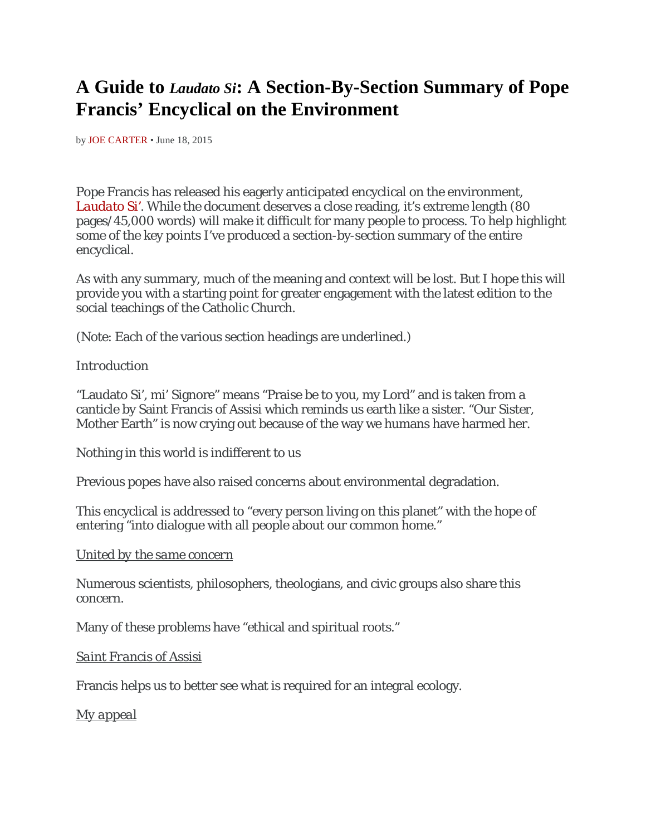# **A Guide to** *Laudato Si***: A Section-By-Section Summary of Pope Francis' Encyclical on the Environment**

by [JOE CARTER](http://blog.acton.org/archives/author/jcarter) • June 18, 2015

Pope Francis has released his eagerly anticipated encyclical on the environment, *[Laudato Si'](http://w2.vatican.va/content/francesco/en/encyclicals/documents/papa-francesco_20150524_enciclica-laudato-si.html)*. While the document deserves a close reading, it's extreme length (80 pages/45,000 words) will make it difficult for many people to process. To help highlight some of the key points I've produced a section-by-section summary of the entire encyclical.

As with any summary, much of the meaning and context will be lost. But I hope this will provide you with a starting point for greater engagement with the latest edition to the social teachings of the Catholic Church.

(Note: Each of the various section headings are underlined.)

#### *Introduction*

"Laudato Si', mi' Signore" means "Praise be to you, my Lord" and is taken from a canticle by Saint Francis of Assisi which reminds us earth like a sister. "Our Sister, Mother Earth" is now crying out because of the way we humans have harmed her.

Nothing in this world is indifferent to us

Previous popes have also raised concerns about environmental degradation.

This encyclical is addressed to "every person living on this planet" with the hope of entering "into dialogue with all people about our common home."

#### *United by the same concern*

Numerous scientists, philosophers, theologians, and civic groups also share this concern.

Many of these problems have "ethical and spiritual roots."

#### *Saint Francis of Assisi*

Francis helps us to better see what is required for an integral ecology.

*My appeal*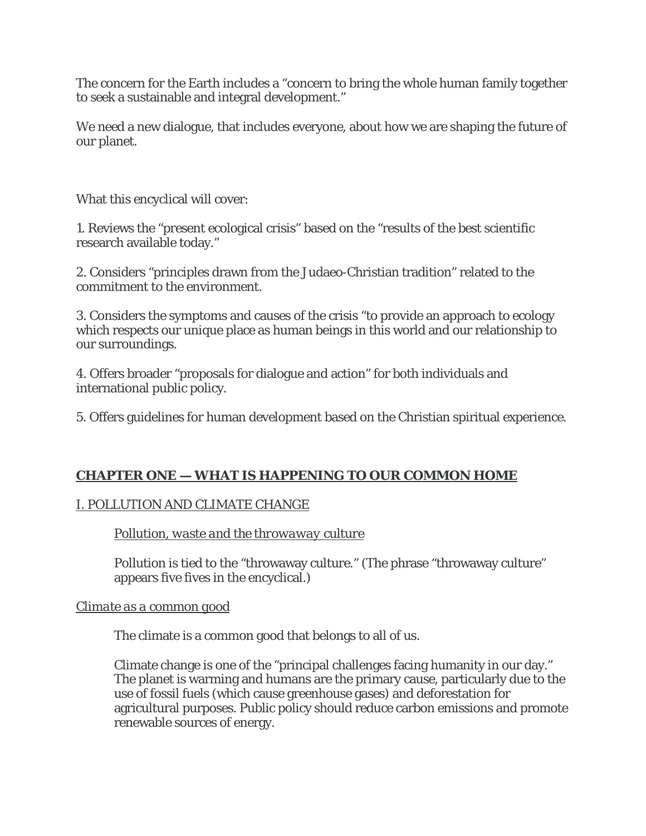The concern for the Earth includes a "concern to bring the whole human family together to seek a sustainable and integral development."

We need a new dialogue, that includes everyone, about how we are shaping the future of our planet.

What this encyclical will cover:

1. Reviews the "present ecological crisis" based on the "results of the best scientific research available today."

2. Considers "principles drawn from the Judaeo-Christian tradition" related to the commitment to the environment.

3. Considers the symptoms and causes of the crisis "to provide an approach to ecology which respects our unique place as human beings in this world and our relationship to our surroundings.

4. Offers broader "proposals for dialogue and action" for both individuals and international public policy.

5. Offers guidelines for human development based on the Christian spiritual experience.

# **CHAPTER ONE — WHAT IS HAPPENING TO OUR COMMON HOME**

# I. POLLUTION AND CLIMATE CHANGE

# *Pollution, waste and the throwaway culture*

Pollution is tied to the "throwaway culture." (The phrase "throwaway culture" appears five fives in the encyclical.)

# *Climate as a common good*

The climate is a common good that belongs to all of us.

Climate change is one of the "principal challenges facing humanity in our day." The planet is warming and humans are the primary cause, particularly due to the use of fossil fuels (which cause greenhouse gases) and deforestation for agricultural purposes. Public policy should reduce carbon emissions and promote renewable sources of energy.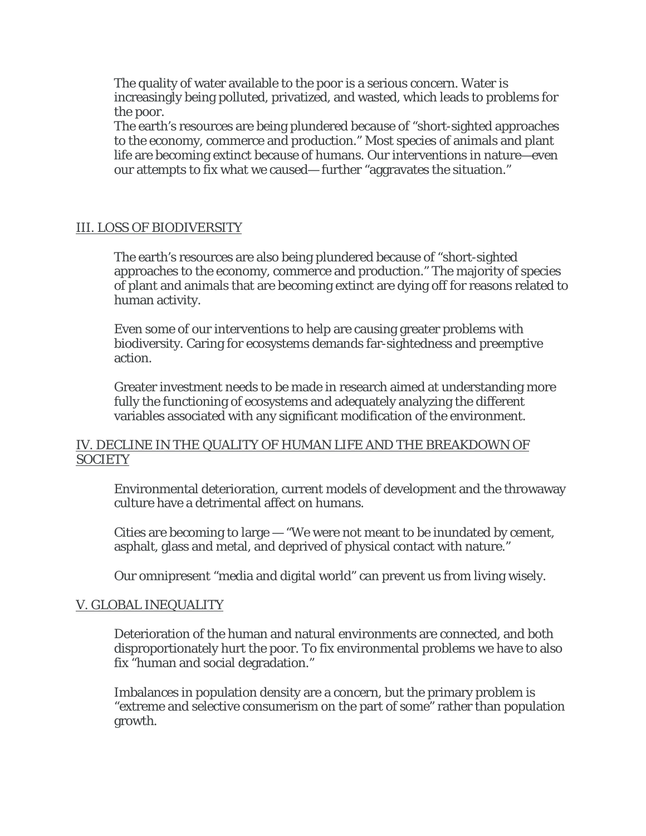The quality of water available to the poor is a serious concern. Water is increasingly being polluted, privatized, and wasted, which leads to problems for the poor.

The earth's resources are being plundered because of "short-sighted approaches to the economy, commerce and production." Most species of animals and plant life are becoming extinct because of humans. Our interventions in nature—even our attempts to fix what we caused— further "aggravates the situation."

#### III. LOSS OF BIODIVERSITY

The earth's resources are also being plundered because of "short-sighted approaches to the economy, commerce and production." The majority of species of plant and animals that are becoming extinct are dying off for reasons related to human activity.

Even some of our interventions to help are causing greater problems with biodiversity. Caring for ecosystems demands far-sightedness and preemptive action.

Greater investment needs to be made in research aimed at understanding more fully the functioning of ecosystems and adequately analyzing the different variables associated with any significant modification of the environment.

#### IV. DECLINE IN THE QUALITY OF HUMAN LIFE AND THE BREAKDOWN OF **SOCIETY**

Environmental deterioration, current models of development and the throwaway culture have a detrimental affect on humans.

Cities are becoming to large — "We were not meant to be inundated by cement, asphalt, glass and metal, and deprived of physical contact with nature."

Our omnipresent "media and digital world" can prevent us from living wisely.

#### V. GLOBAL INEQUALITY

Deterioration of the human and natural environments are connected, and both disproportionately hurt the poor. To fix environmental problems we have to also fix "human and social degradation."

Imbalances in population density are a concern, but the primary problem is "extreme and selective consumerism on the part of some" rather than population growth.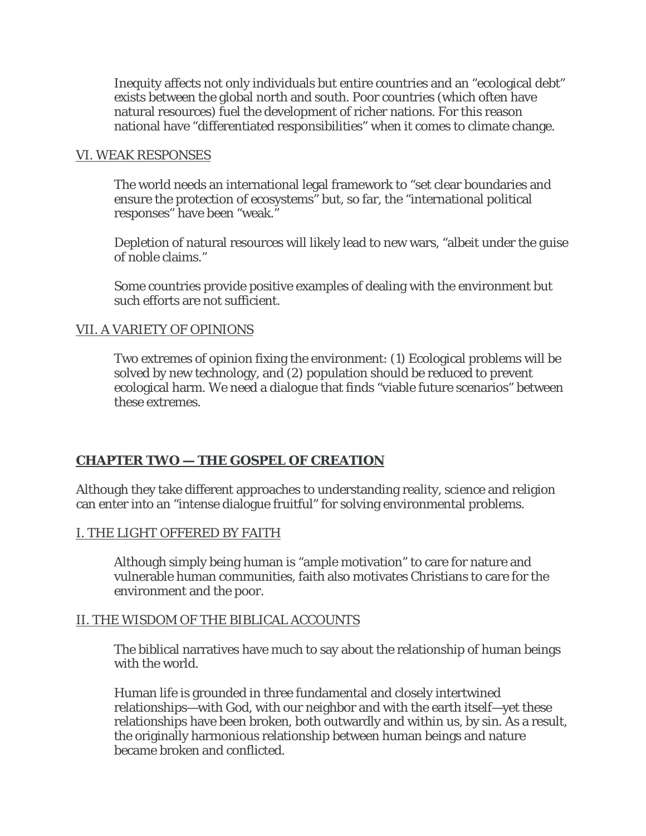Inequity affects not only individuals but entire countries and an "ecological debt" exists between the global north and south. Poor countries (which often have natural resources) fuel the development of richer nations. For this reason national have "differentiated responsibilities" when it comes to climate change.

#### VI. WEAK RESPONSES

The world needs an international legal framework to "set clear boundaries and ensure the protection of ecosystems" but, so far, the "international political responses" have been "weak."

Depletion of natural resources will likely lead to new wars, "albeit under the guise of noble claims."

Some countries provide positive examples of dealing with the environment but such efforts are not sufficient.

#### VII. A VARIETY OF OPINIONS

Two extremes of opinion fixing the environment: (1) Ecological problems will be solved by new technology, and (2) population should be reduced to prevent ecological harm. We need a dialogue that finds "viable future scenarios" between these extremes.

#### **CHAPTER TWO — THE GOSPEL OF CREATION**

Although they take different approaches to understanding reality, science and religion can enter into an "intense dialogue fruitful" for solving environmental problems.

#### I. THE LIGHT OFFERED BY FAITH

Although simply being human is "ample motivation" to care for nature and vulnerable human communities, faith also motivates Christians to care for the environment and the poor.

#### II. THE WISDOM OF THE BIBLICAL ACCOUNTS

The biblical narratives have much to say about the relationship of human beings with the world.

Human life is grounded in three fundamental and closely intertwined relationships—with God, with our neighbor and with the earth itself—yet these relationships have been broken, both outwardly and within us, by sin. As a result, the originally harmonious relationship between human beings and nature became broken and conflicted.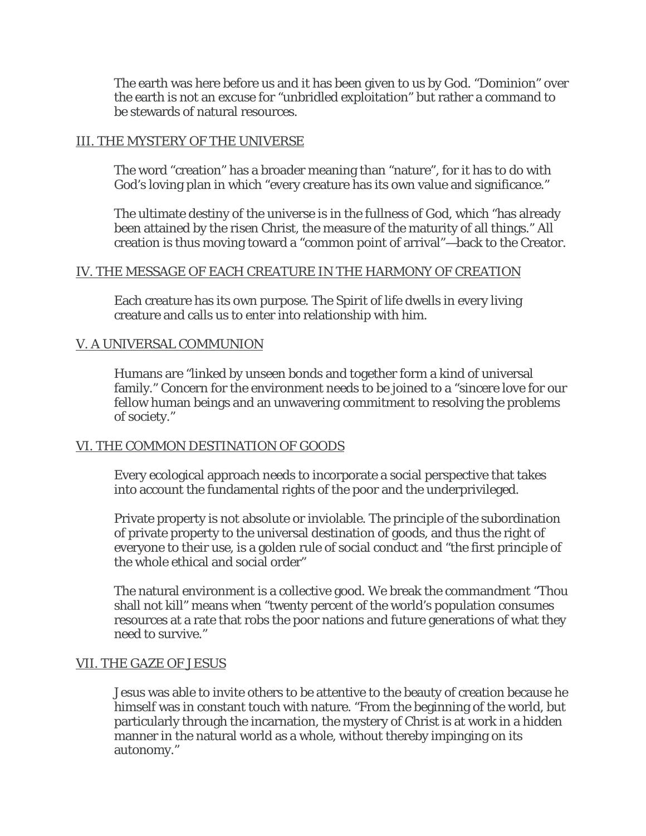The earth was here before us and it has been given to us by God. "Dominion" over the earth is not an excuse for "unbridled exploitation" but rather a command to be stewards of natural resources.

#### III. THE MYSTERY OF THE UNIVERSE

The word "creation" has a broader meaning than "nature", for it has to do with God's loving plan in which "every creature has its own value and significance."

The ultimate destiny of the universe is in the fullness of God, which "has already been attained by the risen Christ, the measure of the maturity of all things." All creation is thus moving toward a "common point of arrival"—back to the Creator.

#### IV. THE MESSAGE OF EACH CREATURE IN THE HARMONY OF CREATION

Each creature has its own purpose. The Spirit of life dwells in every living creature and calls us to enter into relationship with him.

#### V. A UNIVERSAL COMMUNION

Humans are "linked by unseen bonds and together form a kind of universal family." Concern for the environment needs to be joined to a "sincere love for our fellow human beings and an unwavering commitment to resolving the problems of society."

#### VI. THE COMMON DESTINATION OF GOODS

Every ecological approach needs to incorporate a social perspective that takes into account the fundamental rights of the poor and the underprivileged.

Private property is not absolute or inviolable. The principle of the subordination of private property to the universal destination of goods, and thus the right of everyone to their use, is a golden rule of social conduct and "the first principle of the whole ethical and social order"

The natural environment is a collective good. We break the commandment "Thou shall not kill" means when "twenty percent of the world's population consumes resources at a rate that robs the poor nations and future generations of what they need to survive."

#### VII. THE GAZE OF JESUS

Jesus was able to invite others to be attentive to the beauty of creation because he himself was in constant touch with nature. "From the beginning of the world, but particularly through the incarnation, the mystery of Christ is at work in a hidden manner in the natural world as a whole, without thereby impinging on its autonomy."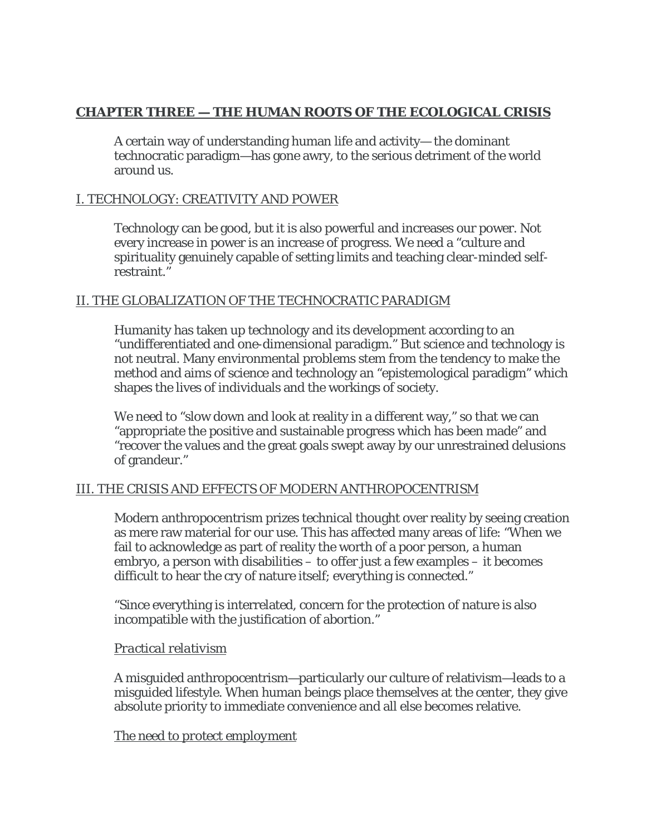# **CHAPTER THREE — THE HUMAN ROOTS OF THE ECOLOGICAL CRISIS**

A certain way of understanding human life and activity— the dominant technocratic paradigm—has gone awry, to the serious detriment of the world around us.

# I. TECHNOLOGY: CREATIVITY AND POWER

Technology can be good, but it is also powerful and increases our power. Not every increase in power is an increase of progress. We need a "culture and spirituality genuinely capable of setting limits and teaching clear-minded selfrestraint."

#### II. THE GLOBALIZATION OF THE TECHNOCRATIC PARADIGM

Humanity has taken up technology and its development according to an "undifferentiated and one-dimensional paradigm." But science and technology is not neutral. Many environmental problems stem from the tendency to make the method and aims of science and technology an "epistemological paradigm" which shapes the lives of individuals and the workings of society.

We need to "slow down and look at reality in a different way," so that we can "appropriate the positive and sustainable progress which has been made" and "recover the values and the great goals swept away by our unrestrained delusions of grandeur."

#### III. THE CRISIS AND EFFECTS OF MODERN ANTHROPOCENTRISM

Modern anthropocentrism prizes technical thought over reality by seeing creation as mere raw material for our use. This has affected many areas of life: "When we fail to acknowledge as part of reality the worth of a poor person, a human embryo, a person with disabilities – to offer just a few examples – it becomes difficult to hear the cry of nature itself; everything is connected."

"Since everything is interrelated, concern for the protection of nature is also incompatible with the justification of abortion."

#### *Practical relativism*

A misguided anthropocentrism—particularly our culture of relativism—leads to a misguided lifestyle. When human beings place themselves at the center, they give absolute priority to immediate convenience and all else becomes relative.

#### *The need to protect employment*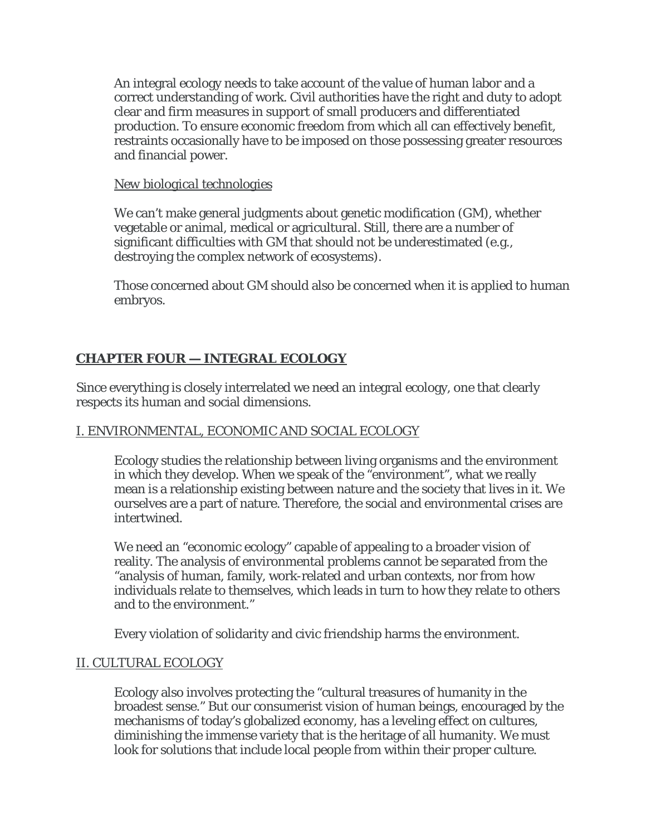An integral ecology needs to take account of the value of human labor and a correct understanding of work. Civil authorities have the right and duty to adopt clear and firm measures in support of small producers and differentiated production. To ensure economic freedom from which all can effectively benefit, restraints occasionally have to be imposed on those possessing greater resources and financial power.

## *New biological technologies*

We can't make general judgments about genetic modification (GM), whether vegetable or animal, medical or agricultural. Still, there are a number of significant difficulties with GM that should not be underestimated (e.g., destroying the complex network of ecosystems).

Those concerned about GM should also be concerned when it is applied to human embryos.

# **CHAPTER FOUR — INTEGRAL ECOLOGY**

Since everything is closely interrelated we need an integral ecology, one that clearly respects its human and social dimensions.

# I. ENVIRONMENTAL, ECONOMIC AND SOCIAL ECOLOGY

Ecology studies the relationship between living organisms and the environment in which they develop. When we speak of the "environment", what we really mean is a relationship existing between nature and the society that lives in it. We ourselves are a part of nature. Therefore, the social and environmental crises are intertwined.

We need an "economic ecology" capable of appealing to a broader vision of reality. The analysis of environmental problems cannot be separated from the "analysis of human, family, work-related and urban contexts, nor from how individuals relate to themselves, which leads in turn to how they relate to others and to the environment."

Every violation of solidarity and civic friendship harms the environment.

#### II. CULTURAL ECOLOGY

Ecology also involves protecting the "cultural treasures of humanity in the broadest sense." But our consumerist vision of human beings, encouraged by the mechanisms of today's globalized economy, has a leveling effect on cultures, diminishing the immense variety that is the heritage of all humanity. We must look for solutions that include local people from within their proper culture.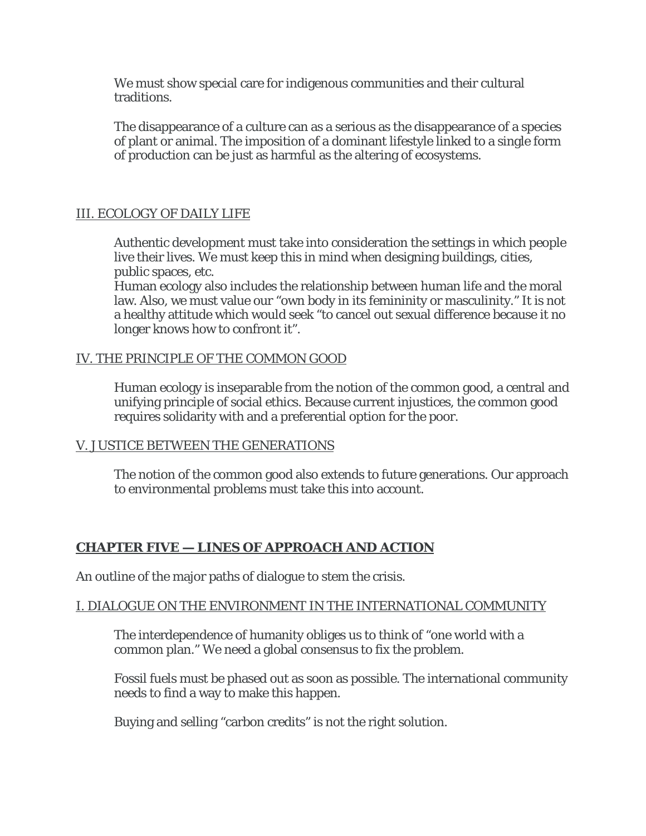We must show special care for indigenous communities and their cultural traditions.

The disappearance of a culture can as a serious as the disappearance of a species of plant or animal. The imposition of a dominant lifestyle linked to a single form of production can be just as harmful as the altering of ecosystems.

# III. ECOLOGY OF DAILY LIFE

Authentic development must take into consideration the settings in which people live their lives. We must keep this in mind when designing buildings, cities, public spaces, etc.

Human ecology also includes the relationship between human life and the moral law. Also, we must value our "own body in its femininity or masculinity." It is not a healthy attitude which would seek "to cancel out sexual difference because it no longer knows how to confront it".

#### IV. THE PRINCIPLE OF THE COMMON GOOD

Human ecology is inseparable from the notion of the common good, a central and unifying principle of social ethics. Because current injustices, the common good requires solidarity with and a preferential option for the poor.

#### V. JUSTICE BETWEEN THE GENERATIONS

The notion of the common good also extends to future generations. Our approach to environmental problems must take this into account.

# **CHAPTER FIVE — LINES OF APPROACH AND ACTION**

An outline of the major paths of dialogue to stem the crisis.

#### I. DIALOGUE ON THE ENVIRONMENT IN THE INTERNATIONAL COMMUNITY

The interdependence of humanity obliges us to think of "one world with a common plan." We need a global consensus to fix the problem.

Fossil fuels must be phased out as soon as possible. The international community needs to find a way to make this happen.

Buying and selling "carbon credits" is not the right solution.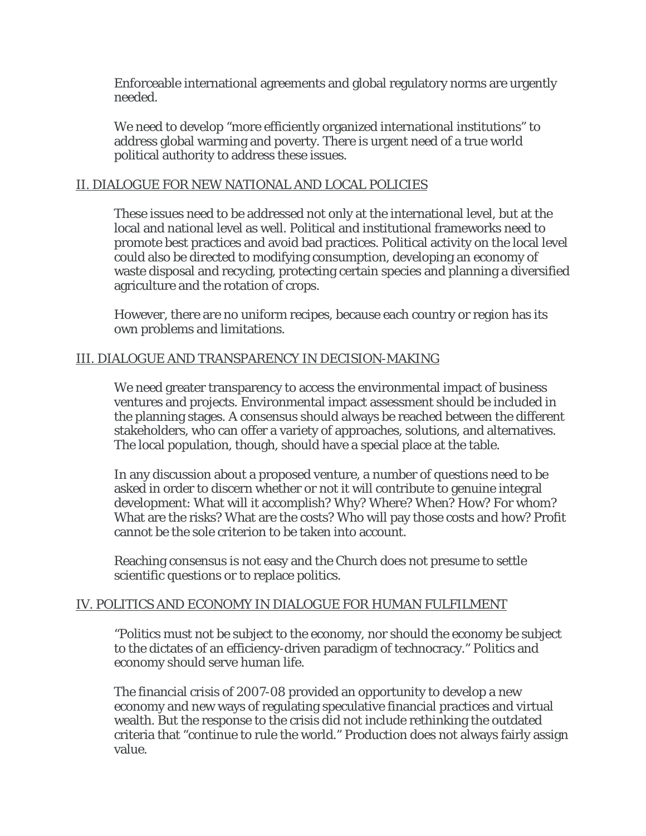Enforceable international agreements and global regulatory norms are urgently needed.

We need to develop "more efficiently organized international institutions" to address global warming and poverty. There is urgent need of a true world political authority to address these issues.

#### II. DIALOGUE FOR NEW NATIONAL AND LOCAL POLICIES

These issues need to be addressed not only at the international level, but at the local and national level as well. Political and institutional frameworks need to promote best practices and avoid bad practices. Political activity on the local level could also be directed to modifying consumption, developing an economy of waste disposal and recycling, protecting certain species and planning a diversified agriculture and the rotation of crops.

However, there are no uniform recipes, because each country or region has its own problems and limitations.

# III. DIALOGUE AND TRANSPARENCY IN DECISION-MAKING

We need greater transparency to access the environmental impact of business ventures and projects. Environmental impact assessment should be included in the planning stages. A consensus should always be reached between the different stakeholders, who can offer a variety of approaches, solutions, and alternatives. The local population, though, should have a special place at the table.

In any discussion about a proposed venture, a number of questions need to be asked in order to discern whether or not it will contribute to genuine integral development: What will it accomplish? Why? Where? When? How? For whom? What are the risks? What are the costs? Who will pay those costs and how? Profit cannot be the sole criterion to be taken into account.

Reaching consensus is not easy and the Church does not presume to settle scientific questions or to replace politics.

#### IV. POLITICS AND ECONOMY IN DIALOGUE FOR HUMAN FULFILMENT

"Politics must not be subject to the economy, nor should the economy be subject to the dictates of an efficiency-driven paradigm of technocracy." Politics and economy should serve human life.

The financial crisis of 2007-08 provided an opportunity to develop a new economy and new ways of regulating speculative financial practices and virtual wealth. But the response to the crisis did not include rethinking the outdated criteria that "continue to rule the world." Production does not always fairly assign value.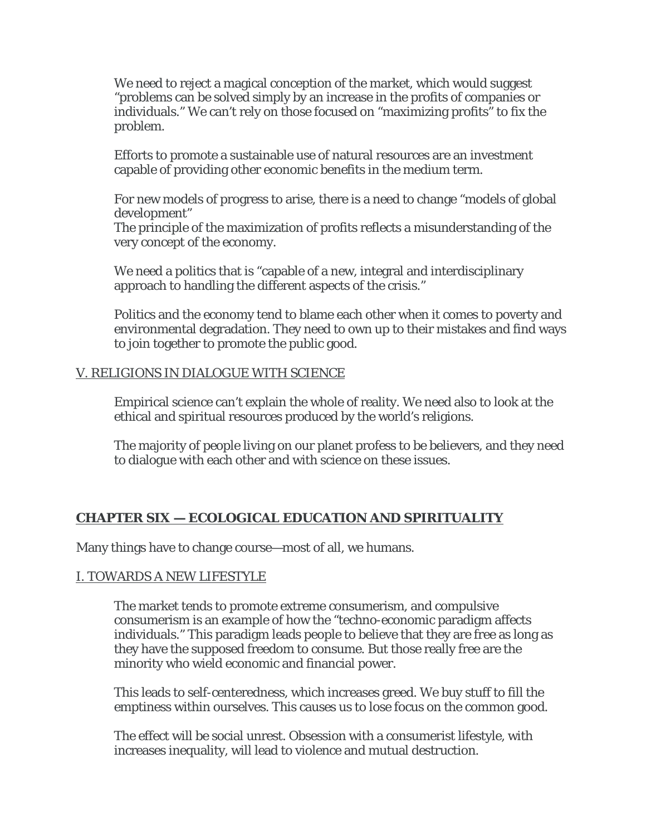We need to reject a magical conception of the market, which would suggest "problems can be solved simply by an increase in the profits of companies or individuals." We can't rely on those focused on "maximizing profits" to fix the problem.

Efforts to promote a sustainable use of natural resources are an investment capable of providing other economic benefits in the medium term.

For new models of progress to arise, there is a need to change "models of global development"

The principle of the maximization of profits reflects a misunderstanding of the very concept of the economy.

We need a politics that is "capable of a new, integral and interdisciplinary approach to handling the different aspects of the crisis."

Politics and the economy tend to blame each other when it comes to poverty and environmental degradation. They need to own up to their mistakes and find ways to join together to promote the public good.

# V. RELIGIONS IN DIALOGUE WITH SCIENCE

Empirical science can't explain the whole of reality. We need also to look at the ethical and spiritual resources produced by the world's religions.

The majority of people living on our planet profess to be believers, and they need to dialogue with each other and with science on these issues.

# **CHAPTER SIX — ECOLOGICAL EDUCATION AND SPIRITUALITY**

Many things have to change course—most of all, we humans.

#### I. TOWARDS A NEW LIFESTYLE

The market tends to promote extreme consumerism, and compulsive consumerism is an example of how the "techno-economic paradigm affects individuals." This paradigm leads people to believe that they are free as long as they have the supposed freedom to consume. But those really free are the minority who wield economic and financial power.

This leads to self-centeredness, which increases greed. We buy stuff to fill the emptiness within ourselves. This causes us to lose focus on the common good.

The effect will be social unrest. Obsession with a consumerist lifestyle, with increases inequality, will lead to violence and mutual destruction.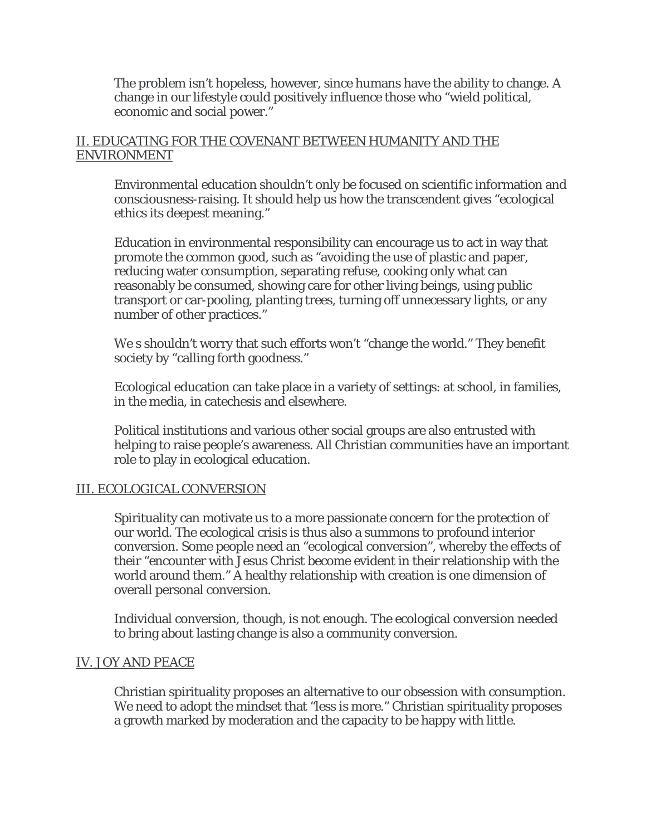The problem isn't hopeless, however, since humans have the ability to change. A change in our lifestyle could positively influence those who "wield political, economic and social power."

## II. EDUCATING FOR THE COVENANT BETWEEN HUMANITY AND THE ENVIRONMENT

Environmental education shouldn't only be focused on scientific information and consciousness-raising. It should help us how the transcendent gives "ecological ethics its deepest meaning."

Education in environmental responsibility can encourage us to act in way that promote the common good, such as "avoiding the use of plastic and paper, reducing water consumption, separating refuse, cooking only what can reasonably be consumed, showing care for other living beings, using public transport or car-pooling, planting trees, turning off unnecessary lights, or any number of other practices."

We s shouldn't worry that such efforts won't "change the world." They benefit society by "calling forth goodness."

Ecological education can take place in a variety of settings: at school, in families, in the media, in catechesis and elsewhere.

Political institutions and various other social groups are also entrusted with helping to raise people's awareness. All Christian communities have an important role to play in ecological education.

#### III. ECOLOGICAL CONVERSION

Spirituality can motivate us to a more passionate concern for the protection of our world. The ecological crisis is thus also a summons to profound interior conversion. Some people need an "ecological conversion", whereby the effects of their "encounter with Jesus Christ become evident in their relationship with the world around them." A healthy relationship with creation is one dimension of overall personal conversion.

Individual conversion, though, is not enough. The ecological conversion needed to bring about lasting change is also a community conversion.

#### IV. JOY AND PEACE

Christian spirituality proposes an alternative to our obsession with consumption. We need to adopt the mindset that "less is more." Christian spirituality proposes a growth marked by moderation and the capacity to be happy with little.